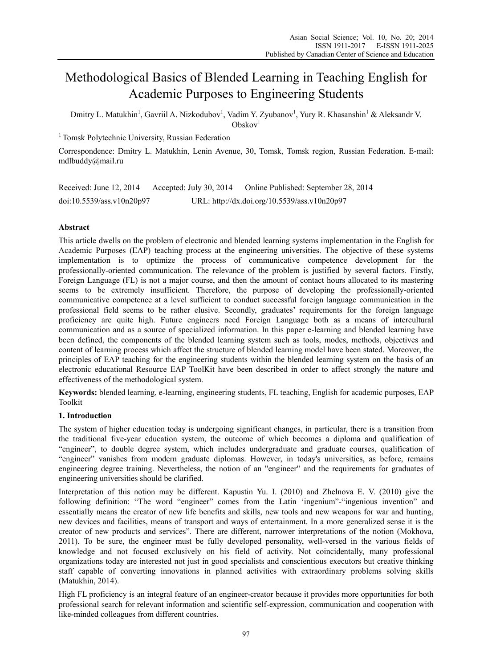# Methodological Basics of Blended Learning in Teaching English for Academic Purposes to Engineering Students

Dmitry L. Matukhin<sup>1</sup>, Gavriil A. Nizkodubov<sup>1</sup>, Vadim Y. Zyubanov<sup>1</sup>, Yury R. Khasanshin<sup>1</sup> & Aleksandr V.

 $Obskov<sup>1</sup>$ 

<sup>1</sup> Tomsk Polytechnic University, Russian Federation

Correspondence: Dmitry L. Matukhin, Lenin Avenue, 30, Tomsk, Tomsk region, Russian Federation. E-mail: mdlbuddy@mail.ru

Received: June 12, 2014 Accepted: July 30, 2014 Online Published: September 28, 2014 doi:10.5539/ass.v10n20p97 URL: http://dx.doi.org/10.5539/ass.v10n20p97

# **Abstract**

This article dwells on the problem of electronic and blended learning systems implementation in the English for Academic Purposes (EAP) teaching process at the engineering universities. The objective of these systems implementation is to optimize the process of communicative competence development for the professionally-oriented communication. The relevance of the problem is justified by several factors. Firstly, Foreign Language (FL) is not a major course, and then the amount of contact hours allocated to its mastering seems to be extremely insufficient. Therefore, the purpose of developing the professionally-oriented communicative competence at a level sufficient to conduct successful foreign language communication in the professional field seems to be rather elusive. Secondly, graduates' requirements for the foreign language proficiency are quite high. Future engineers need Foreign Language both as a means of intercultural communication and as a source of specialized information. In this paper e-learning and blended learning have been defined, the components of the blended learning system such as tools, modes, methods, objectives and content of learning process which affect the structure of blended learning model have been stated. Moreover, the principles of EAP teaching for the engineering students within the blended learning system on the basis of an electronic educational Resource EAP ToolKit have been described in order to affect strongly the nature and effectiveness of the methodological system.

**Keywords:** blended learning, e-learning, engineering students, FL teaching, English for academic purposes, EAP Toolkit

# **1. Introduction**

The system of higher education today is undergoing significant changes, in particular, there is a transition from the traditional five-year education system, the outcome of which becomes a diploma and qualification of "engineer", to double degree system, which includes undergraduate and graduate courses, qualification of "engineer" vanishes from modern graduate diplomas. However, in today's universities, as before, remains engineering degree training. Nevertheless, the notion of an "engineer" and the requirements for graduates of engineering universities should be clarified.

Interpretation of this notion may be different. Kapustin Yu. I. (2010) and Zhelnova E. V. (2010) give the following definition: "The word "engineer" comes from the Latin 'ingenium"-"ingenious invention" and essentially means the creator of new life benefits and skills, new tools and new weapons for war and hunting, new devices and facilities, means of transport and ways of entertainment. In a more generalized sense it is the creator of new products and services". There are different, narrower interpretations of the notion (Mokhova, 2011). To be sure, the engineer must be fully developed personality, well-versed in the various fields of knowledge and not focused exclusively on his field of activity. Not coincidentally, many professional organizations today are interested not just in good specialists and conscientious executors but creative thinking staff capable of converting innovations in planned activities with extraordinary problems solving skills (Matukhin, 2014).

High FL proficiency is an integral feature of an engineer-creator because it provides more opportunities for both professional search for relevant information and scientific self-expression, communication and cooperation with like-minded colleagues from different countries.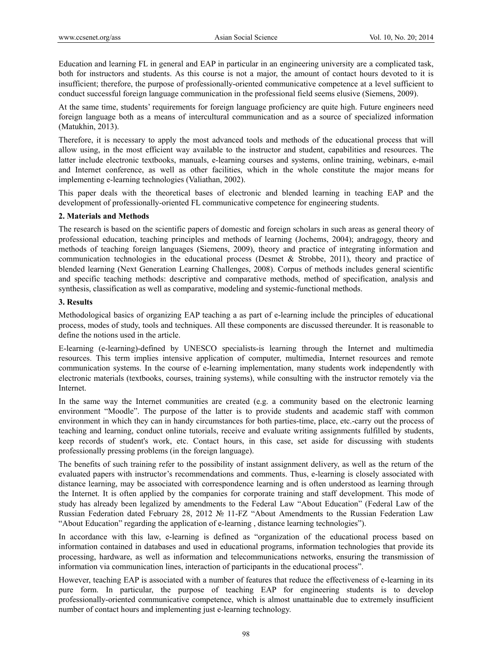Education and learning FL in general and EAP in particular in an engineering university are a complicated task, both for instructors and students. As this course is not a major, the amount of contact hours devoted to it is insufficient; therefore, the purpose of professionally-oriented communicative competence at a level sufficient to conduct successful foreign language communication in the professional field seems elusive (Siemens, 2009).

At the same time, students' requirements for foreign language proficiency are quite high. Future engineers need foreign language both as a means of intercultural communication and as a source of specialized information (Matukhin, 2013).

Therefore, it is necessary to apply the most advanced tools and methods of the educational process that will allow using, in the most efficient way available to the instructor and student, capabilities and resources. The latter include electronic textbooks, manuals, e-learning courses and systems, online training, webinars, e-mail and Internet conference, as well as other facilities, which in the whole constitute the major means for implementing e-learning technologies (Valiathan, 2002).

This paper deals with the theoretical bases of electronic and blended learning in teaching EAP and the development of professionally-oriented FL communicative competence for engineering students.

## **2. Materials and Methods**

The research is based on the scientific papers of domestic and foreign scholars in such areas as general theory of professional education, teaching principles and methods of learning (Jochems, 2004); andragogy, theory and methods of teaching foreign languages (Siemens, 2009), theory and practice of integrating information and communication technologies in the educational process (Desmet & Strobbe, 2011), theory and practice of blended learning (Next Generation Learning Challenges, 2008). Corpus of methods includes general scientific and specific teaching methods: descriptive and comparative methods, method of specification, analysis and synthesis, classification as well as comparative, modeling and systemic-functional methods.

#### **3. Results**

Methodological basics of organizing EAP teaching a as part of e-learning include the principles of educational process, modes of study, tools and techniques. All these components are discussed thereunder. It is reasonable to define the notions used in the article.

E-learning (e-learning)-defined by UNESCO specialists-is learning through the Internet and multimedia resources. This term implies intensive application of computer, multimedia, Internet resources and remote communication systems. In the course of e-learning implementation, many students work independently with electronic materials (textbooks, courses, training systems), while consulting with the instructor remotely via the Internet.

In the same way the Internet communities are created (e.g. a community based on the electronic learning environment "Moodle". The purpose of the latter is to provide students and academic staff with common environment in which they can in handy circumstances for both parties-time, place, etc.-carry out the process of teaching and learning, conduct online tutorials, receive and evaluate writing assignments fulfilled by students, keep records of student's work, etc. Contact hours, in this case, set aside for discussing with students professionally pressing problems (in the foreign language).

The benefits of such training refer to the possibility of instant assignment delivery, as well as the return of the evaluated papers with instructor's recommendations and comments. Thus, e-learning is closely associated with distance learning, may be associated with correspondence learning and is often understood as learning through the Internet. It is often applied by the companies for corporate training and staff development. This mode of study has already been legalized by amendments to the Federal Law "About Education" (Federal Law of the Russian Federation dated February 28, 2012 № 11-FZ "About Amendments to the Russian Federation Law "About Education" regarding the application of e-learning , distance learning technologies").

In accordance with this law, e-learning is defined as "organization of the educational process based on information contained in databases and used in educational programs, information technologies that provide its processing, hardware, as well as information and telecommunications networks, ensuring the transmission of information via communication lines, interaction of participants in the educational process".

However, teaching EAP is associated with a number of features that reduce the effectiveness of e-learning in its pure form. In particular, the purpose of teaching EAP for engineering students is to develop professionally-oriented communicative competence, which is almost unattainable due to extremely insufficient number of contact hours and implementing just e-learning technology.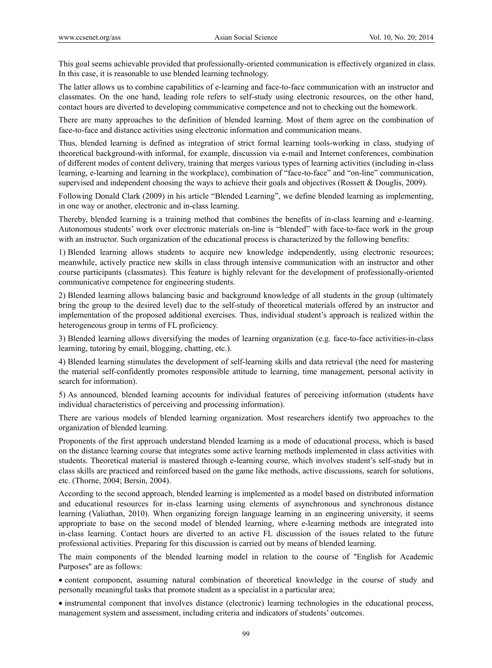This goal seems achievable provided that professionally-oriented communication is effectively organized in class. In this case, it is reasonable to use blended learning technology.

The latter allows us to combine capabilities of e-learning and face-to-face communication with an instructor and classmates. On the one hand, leading role refers to self-study using electronic resources, on the other hand, contact hours are diverted to developing communicative competence and not to checking out the homework.

There are many approaches to the definition of blended learning. Most of them agree on the combination of face-to-face and distance activities using electronic information and communication means.

Thus, blended learning is defined as integration of strict formal learning tools-working in class, studying of theoretical background-with informal, for example, discussion via e-mail and Internet conferences, combination of different modes of content delivery, training that merges various types of learning activities (including in-class learning, e-learning and learning in the workplace), combination of "face-to-face" and "on-line" communication, supervised and independent choosing the ways to achieve their goals and objectives (Rossett & Douglis, 2009).

Following Donald Clark (2009) in his article "Blended Learning", we define blended learning as implementing, in one way or another, electronic and in-class learning.

Thereby, blended learning is a training method that combines the benefits of in-class learning and e-learning. Autonomous students' work over electronic materials on-line is "blended" with face-to-face work in the group with an instructor. Such organization of the educational process is characterized by the following benefits:

1) Blended learning allows students to acquire new knowledge independently, using electronic resources; meanwhile, actively practice new skills in class through intensive communication with an instructor and other course participants (classmates). This feature is highly relevant for the development of professionally-oriented communicative competence for engineering students.

2) Blended learning allows balancing basic and background knowledge of all students in the group (ultimately bring the group to the desired level) due to the self-study of theoretical materials offered by an instructor and implementation of the proposed additional exercises. Thus, individual student's approach is realized within the heterogeneous group in terms of FL proficiency.

3) Blended learning allows diversifying the modes of learning organization (e.g. face-to-face activities-in-class learning, tutoring by email, blogging, chatting, etc.).

4) Blended learning stimulates the development of self-learning skills and data retrieval (the need for mastering the material self-confidently promotes responsible attitude to learning, time management, personal activity in search for information).

5) As announced, blended learning accounts for individual features of perceiving information (students have individual characteristics of perceiving and processing information).

There are various models of blended learning organization. Most researchers identify two approaches to the organization of blended learning.

Proponents of the first approach understand blended learning as a mode of educational process, which is based on the distance learning course that integrates some active learning methods implemented in class activities with students. Theoretical material is mastered through e-learning course, which involves student's self-study but in class skills are practiced and reinforced based on the game like methods, active discussions, search for solutions, etc. (Thorne, 2004; Bersin, 2004).

According to the second approach, blended learning is implemented as a model based on distributed information and educational resources for in-class learning using elements of asynchronous and synchronous distance learning (Valiathan, 2010). When organizing foreign language learning in an engineering university, it seems appropriate to base on the second model of blended learning, where e-learning methods are integrated into in-class learning. Contact hours are diverted to an active FL discussion of the issues related to the future professional activities. Preparing for this discussion is carried out by means of blended learning.

The main components of the blended learning model in relation to the course of "English for Academic Purposes" are as follows:

 content component, assuming natural combination of theoretical knowledge in the course of study and personally meaningful tasks that promote student as a specialist in a particular area;

• instrumental component that involves distance (electronic) learning technologies in the educational process, management system and assessment, including criteria and indicators of students' outcomes.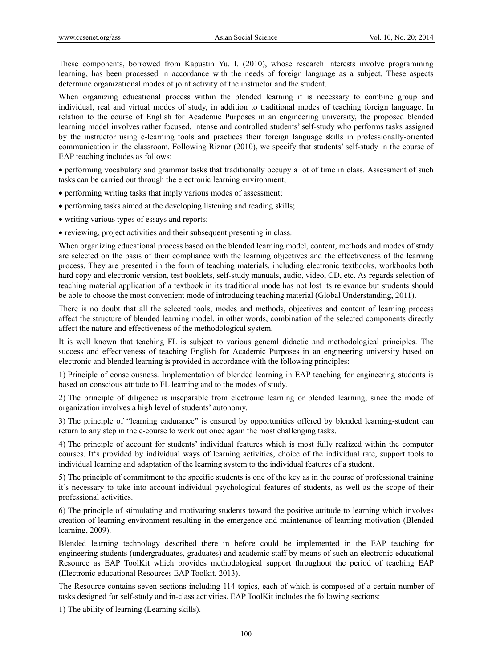These components, borrowed from Kapustin Yu. I. (2010), whose research interests involve programming learning, has been processed in accordance with the needs of foreign language as a subject. These aspects determine organizational modes of joint activity of the instructor and the student.

When organizing educational process within the blended learning it is necessary to combine group and individual, real and virtual modes of study, in addition to traditional modes of teaching foreign language. In relation to the course of English for Academic Purposes in an engineering university, the proposed blended learning model involves rather focused, intense and controlled students' self-study who performs tasks assigned by the instructor using e-learning tools and practices their foreign language skills in professionally-oriented communication in the classroom. Following Riznar (2010), we specify that students' self-study in the course of EAP teaching includes as follows:

 performing vocabulary and grammar tasks that traditionally occupy a lot of time in class. Assessment of such tasks can be carried out through the electronic learning environment;

- performing writing tasks that imply various modes of assessment;
- performing tasks aimed at the developing listening and reading skills;
- writing various types of essays and reports;
- reviewing, project activities and their subsequent presenting in class.

When organizing educational process based on the blended learning model, content, methods and modes of study are selected on the basis of their compliance with the learning objectives and the effectiveness of the learning process. They are presented in the form of teaching materials, including electronic textbooks, workbooks both hard copy and electronic version, test booklets, self-study manuals, audio, video, CD, etc. As regards selection of teaching material application of a textbook in its traditional mode has not lost its relevance but students should be able to choose the most convenient mode of introducing teaching material (Global Understanding, 2011).

There is no doubt that all the selected tools, modes and methods, objectives and content of learning process affect the structure of blended learning model, in other words, combination of the selected components directly affect the nature and effectiveness of the methodological system.

It is well known that teaching FL is subject to various general didactic and methodological principles. The success and effectiveness of teaching English for Academic Purposes in an engineering university based on electronic and blended learning is provided in accordance with the following principles:

1) Principle of consciousness. Implementation of blended learning in EAP teaching for engineering students is based on conscious attitude to FL learning and to the modes of study.

2) The principle of diligence is inseparable from electronic learning or blended learning, since the mode of organization involves a high level of students' autonomy.

3) The principle of "learning endurance" is ensured by opportunities offered by blended learning-student can return to any step in the e-course to work out once again the most challenging tasks.

4) The principle of account for students' individual features which is most fully realized within the computer courses. It's provided by individual ways of learning activities, choice of the individual rate, support tools to individual learning and adaptation of the learning system to the individual features of a student.

5) The principle of commitment to the specific students is one of the key as in the course of professional training it's necessary to take into account individual psychological features of students, as well as the scope of their professional activities.

6) The principle of stimulating and motivating students toward the positive attitude to learning which involves creation of learning environment resulting in the emergence and maintenance of learning motivation (Blended learning, 2009).

Blended learning technology described there in before could be implemented in the EAP teaching for engineering students (undergraduates, graduates) and academic staff by means of such an electronic educational Resource as EAP ToolKit which provides methodological support throughout the period of teaching EAP (Electronic educational Resources EAP Toolkit, 2013).

The Resource contains seven sections including 114 topics, each of which is composed of a certain number of tasks designed for self-study and in-class activities. EAP ToolKit includes the following sections:

1) The ability of learning (Learning skills).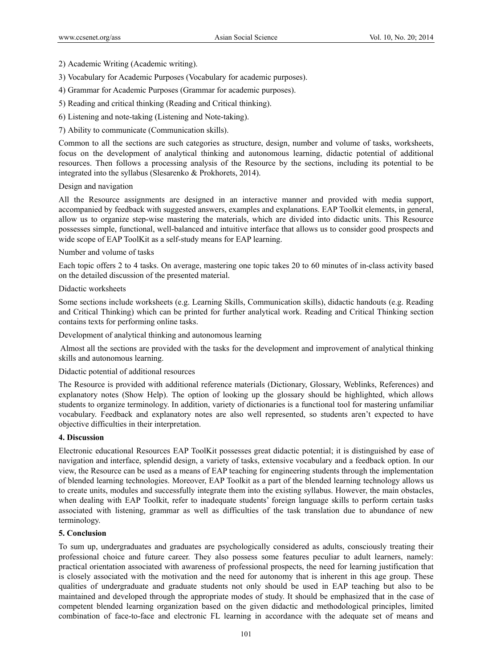2) Academic Writing (Academic writing).

3) Vocabulary for Academic Purposes (Vocabulary for academic purposes).

4) Grammar for Academic Purposes (Grammar for academic purposes).

5) Reading and critical thinking (Reading and Critical thinking).

6) Listening and note-taking (Listening and Note-taking).

7) Ability to communicate (Communication skills).

Common to all the sections are such categories as structure, design, number and volume of tasks, worksheets, focus on the development of analytical thinking and autonomous learning, didactic potential of additional resources. Then follows a processing analysis of the Resource by the sections, including its potential to be integrated into the syllabus (Slesarenko & Prokhorets, 2014).

## Design and navigation

All the Resource assignments are designed in an interactive manner and provided with media support, accompanied by feedback with suggested answers, examples and explanations. EAP Toolkit elements, in general, allow us to organize step-wise mastering the materials, which are divided into didactic units. This Resource possesses simple, functional, well-balanced and intuitive interface that allows us to consider good prospects and wide scope of EAP ToolKit as a self-study means for EAP learning.

#### Number and volume of tasks

Each topic offers 2 to 4 tasks. On average, mastering one topic takes 20 to 60 minutes of in-class activity based on the detailed discussion of the presented material.

## Didactic worksheets

Some sections include worksheets (e.g. Learning Skills, Communication skills), didactic handouts (e.g. Reading and Critical Thinking) which can be printed for further analytical work. Reading and Critical Thinking section contains texts for performing online tasks.

Development of analytical thinking and autonomous learning

 Almost all the sections are provided with the tasks for the development and improvement of analytical thinking skills and autonomous learning.

## Didactic potential of additional resources

The Resource is provided with additional reference materials (Dictionary, Glossary, Weblinks, References) and explanatory notes (Show Help). The option of looking up the glossary should be highlighted, which allows students to organize terminology. In addition, variety of dictionaries is a functional tool for mastering unfamiliar vocabulary. Feedback and explanatory notes are also well represented, so students aren't expected to have objective difficulties in their interpretation.

## **4. Discussion**

Electronic educational Resources EAP ToolKit possesses great didactic potential; it is distinguished by ease of navigation and interface, splendid design, a variety of tasks, extensive vocabulary and a feedback option. In our view, the Resource can be used as a means of EAP teaching for engineering students through the implementation of blended learning technologies. Moreover, EAP Toolkit as a part of the blended learning technology allows us to create units, modules and successfully integrate them into the existing syllabus. However, the main obstacles, when dealing with EAP Toolkit, refer to inadequate students' foreign language skills to perform certain tasks associated with listening, grammar as well as difficulties of the task translation due to abundance of new terminology.

## **5. Conclusion**

To sum up, undergraduates and graduates are psychologically considered as adults, consciously treating their professional choice and future career. They also possess some features peculiar to adult learners, namely: practical orientation associated with awareness of professional prospects, the need for learning justification that is closely associated with the motivation and the need for autonomy that is inherent in this age group. These qualities of undergraduate and graduate students not only should be used in EAP teaching but also to be maintained and developed through the appropriate modes of study. It should be emphasized that in the case of competent blended learning organization based on the given didactic and methodological principles, limited combination of face-to-face and electronic FL learning in accordance with the adequate set of means and